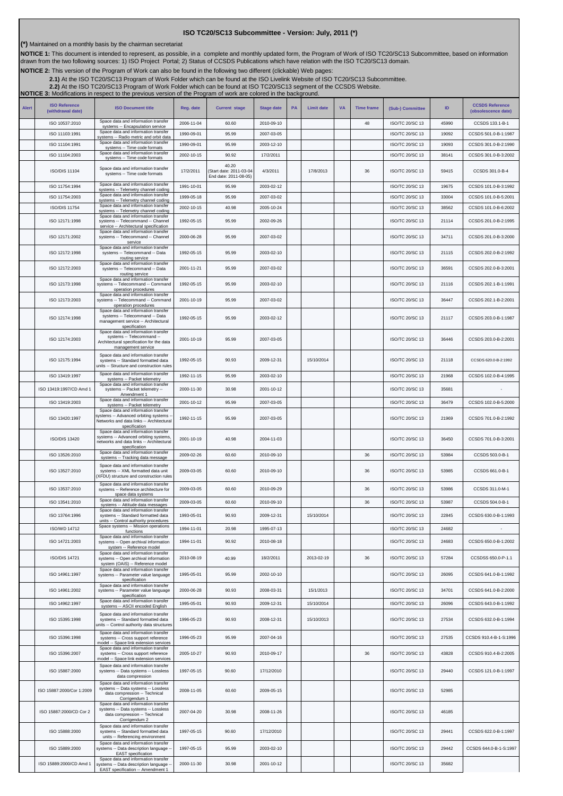## **ISO TC20/SC13 Subcommittee - Version: July, 2011 (\*)**

**(\*)** Maintained on a monthly basis by the chairman secretariat

NOTICE 1: This document is intended to represent, as possible, in a complete and monthly updated form, the Program of Work of ISO TC20/SC13 Subcommittee, based on information<br>drawn from the two following sources: 1) ISO Pr

**NOTICE 2:** This version of the Program of Work can also be found in the following two different (clickable) Web pages:

2.1)At the ISO TC20/SC13 Program of Work Folder which can be found at the ISO Livelink Website of ISO TC20/SC13 Subcommittee.<br>[2.2\)](http://cwe.ccsds.org/cmc/docs/Forms/AllItems.aspx?RootFolder=%2fcmc%2fdocs%2fISO%20TC20%2dSC13%2fISO%20TC20%2dSC13%20Meeting%20Minutes%20and%20Presentations&FolderCTID=&View=%7bD5DD30F7%2d53FC%2d45B9%2d8B93%2d709B280A475B%7d) At the ISO TC20/SC13 Program of Work Folder which can be found at ISO TC20/SC13 segment of

**NOTICE 3:** Modifications in respect to the previous version of the Program of work are colored in the background.

| <b>Alert</b> | <b>ISO Reference</b><br>(withdrawal date) | <b>ISO Document title</b>                                                                                                                                 | Reg. date  | <b>Current stage</b>                                     | <b>Stage date</b> | <b>PA</b> | <b>Limit date</b> | <b>VA</b> | <b>Time frame</b> | (Sub-) Committee | ID    | <b>CCSDS Reference</b><br>(obsolescence date) |
|--------------|-------------------------------------------|-----------------------------------------------------------------------------------------------------------------------------------------------------------|------------|----------------------------------------------------------|-------------------|-----------|-------------------|-----------|-------------------|------------------|-------|-----------------------------------------------|
|              | ISO 10537:2010                            | Space data and information transfer<br>systems -- Encapsulation service                                                                                   | 2006-11-04 | 60.60                                                    | 2010-09-10        |           |                   |           | 48                | ISO/TC 20/SC 13  | 45990 | CCSDS 133.1-B-1                               |
|              | ISO 11103:1991                            | Space data and information transfer<br>systems -- Radio metric and orbit data                                                                             | 1990-09-01 | 95.99                                                    | 2007-03-05        |           |                   |           |                   | ISO/TC 20/SC 13  | 19092 | CCSDS 501.0-B-1:1987                          |
|              | ISO 11104:1991                            | Space data and information transfer<br>systems -- Time code formats                                                                                       | 1990-09-01 | 95.99                                                    | 2003-12-10        |           |                   |           |                   | ISO/TC 20/SC 13  | 19093 | CCSDS 301.0-B-2:1990                          |
|              | ISO 11104:2003                            | Space data and information transfer<br>systems -- Time code formats                                                                                       | 2002-10-15 | 90.92                                                    | 17/2/2011         |           |                   |           |                   | ISO/TC 20/SC 13  | 38141 | CCSDS 301.0-B-3:2002                          |
|              | <b>ISO/DIS 11104</b>                      | Space data and information transfer<br>systems -- Time code formats                                                                                       | 17/2/2011  | 40.20<br>Start date: 2011-03-04<br>End date: 2011-08-05) | 4/3/2011          |           | 17/8/2013         |           | 36                | ISO/TC 20/SC 13  | 59415 | CCSDS 301.0-B-4                               |
|              | ISO 11754:1994                            | Space data and information transfer<br>systems -- Telemetry channel coding                                                                                | 1991-10-01 | 95.99                                                    | 2003-02-12        |           |                   |           |                   | ISO/TC 20/SC 13  | 19675 | CCSDS 101.0-B-3:1992                          |
|              | ISO 11754:2003                            | Space data and information transfer<br>systems -- Telemetry channel coding                                                                                | 1999-05-18 | 95.99                                                    | 2007-03-02        |           |                   |           |                   | ISO/TC 20/SC 13  | 33004 | CCSDS 101.0-B-5:2001                          |
|              | <b>ISO/DIS 11754</b>                      | Space data and information transfer<br>systems -- Telemetry channel coding                                                                                | 2002-10-15 | 40.98                                                    | 2005-10-24        |           |                   |           |                   | ISO/TC 20/SC 13  | 38562 | CCSDS 101.0-B-6:2002                          |
|              | ISO 12171:1998                            | Space data and information transfer<br>systems -- Telecommand -- Channel<br>service -- Architectural specification<br>Space data and information transfer | 1992-05-15 | 95.99                                                    | 2002-09-26        |           |                   |           |                   | ISO/TC 20/SC 13  | 21114 | CCSDS 201.0-B-2:1995                          |
|              | ISO 12171:2002                            | systems -- Telecommand -- Channel<br>service                                                                                                              | 2000-06-28 | 95.99                                                    | 2007-03-02        |           |                   |           |                   | ISO/TC 20/SC 13  | 34711 | CCSDS 201.0-B-3:2000                          |
|              | ISO 12172:1998                            | Space data and information transfer<br>systems -- Telecommand -- Data<br>routing service                                                                  | 1992-05-15 | 95.99                                                    | 2003-02-10        |           |                   |           |                   | ISO/TC 20/SC 13  | 21115 | CCSDS 202.0-B-2:1992                          |
|              | ISO 12172:2003                            | Space data and information transfer<br>systems -- Telecommand -- Data<br>routing service<br>Space data and information transfer                           | 2001-11-21 | 95.99                                                    | 2007-03-02        |           |                   |           |                   | ISO/TC 20/SC 13  | 36591 | CCSDS 202.0-B-3:2001                          |
|              | ISO 12173:1998                            | systems -- Telecommand -- Command<br>operation procedures                                                                                                 | 1992-05-15 | 95.99                                                    | 2003-02-10        |           |                   |           |                   | ISO/TC 20/SC 13  | 21116 | CCSDS 202.1-B-1:1991                          |
|              | ISO 12173:2003                            | Space data and information transfer<br>systems -- Telecommand -- Command<br>operation procedures                                                          | 2001-10-19 | 95.99                                                    | 2007-03-02        |           |                   |           |                   | ISO/TC 20/SC 13  | 36447 | CCSDS 202.1-B-2:2001                          |
|              | ISO 12174:1998                            | Space data and information transfer<br>systems -- Telecommand -- Data<br>management service -- Architectural<br>specification                             | 1992-05-15 | 95.99                                                    | 2003-02-12        |           |                   |           |                   | ISO/TC 20/SC 13  | 21117 | CCSDS 203.0-B-1:1987                          |
|              | ISO 12174:2003                            | Space data and information transfer<br>systems -- Telecommand --<br>Architectural specification for the data<br>management service                        | 2001-10-19 | 95.99                                                    | 2007-03-05        |           |                   |           |                   | ISO/TC 20/SC 13  | 36446 | CCSDS 203.0-B-2:2001                          |
|              | ISO 12175:1994                            | Space data and information transfer<br>systems -- Standard formatted data<br>units -- Structure and construction rules                                    | 1992-05-15 | 90.93                                                    | 2009-12-31        |           | 15/10/2014        |           |                   | ISO/TC 20/SC 13  | 21118 | CCSDS 620.0-B-2:1992                          |
|              | ISO 13419:1997                            | Space data and information transfer<br>systems -- Packet telemetry                                                                                        | 1992-11-15 | 95.99                                                    | 2003-02-10        |           |                   |           |                   | ISO/TC 20/SC 13  | 21968 | CCSDS 102.0-B-4:1995                          |
|              | ISO 13419:1997/CD Amd 1                   | Space data and information transfer<br>systems -- Packet telemetry --<br>Amendment 1                                                                      | 2000-11-30 | 30.98                                                    | 2001-10-12        |           |                   |           |                   | ISO/TC 20/SC 13  | 35681 |                                               |
|              | ISO 13419:2003                            | Space data and information transfer<br>systems -- Packet telemetry                                                                                        | 2001-10-12 | 95.99                                                    | 2007-03-05        |           |                   |           |                   | ISO/TC 20/SC 13  | 36479 | CCSDS 102.0-B-5:2000                          |
|              | ISO 13420:1997                            | Space data and information transfer<br>systems -- Advanced orbiting systems -<br>Networks and data links -- Architectural<br>specification                | 1992-11-15 | 95.99                                                    | 2007-03-05        |           |                   |           |                   | ISO/TC 20/SC 13  | 21969 | CCSDS 701.0-B-2:1992                          |
|              | ISO/DIS 13420                             | Space data and information transfer<br>systems -- Advanced orbiting systems,<br>networks and data links -- Architectural<br>specification                 | 2001-10-19 | 40.98                                                    | 2004-11-03        |           |                   |           |                   | ISO/TC 20/SC 13  | 36450 | CCSDS 701.0-B-3:2001                          |
|              | ISO 13526:2010                            | Space data and information transfer<br>systems -- Tracking data message                                                                                   | 2009-02-26 | 60.60                                                    | 2010-09-10        |           |                   |           | 36                | ISO/TC 20/SC 13  | 53984 | CCSDS 503.0-B-1                               |
|              | ISO 13527:2010                            | Space data and information transfer<br>systems -- XML formatted data unit<br>XFDU) structure and construction rules                                       | 2009-03-05 | 60.60                                                    | 2010-09-10        |           |                   |           | 36                | ISO/TC 20/SC 13  | 53985 | CCSDS 661.0-B-1                               |
|              | ISO 13537:2010                            | Space data and information transfer<br>systems -- Reference architecture for<br>space data systems                                                        | 2009-03-05 | 60.60                                                    | 2010-09-29        |           |                   |           | 36                | ISO/TC 20/SC 13  | 53986 | CCSDS 311.0-M-1                               |
|              | ISO 13541:2010                            | Space data and information transfer<br>systems -- Attitude data messages                                                                                  | 2009-03-05 | 60.60                                                    | 2010-09-10        |           |                   |           | 36                | ISO/TC 20/SC 13  | 53987 | CCSDS 504.0-B-1                               |
|              | ISO 13764:1996                            | Space data and information transfer<br>systems -- Standard formatted data                                                                                 | 1993-05-01 | 90.93                                                    | 2009-12-31        |           | 15/10/2014        |           |                   | ISO/TC 20/SC 13  | 22845 | CCSDS 630.0-B-1:1993                          |
|              | ISO/WD 14712                              | units -- Control authority procedures<br>Space systems -- Mission operations                                                                              | 1994-11-01 | 20.98                                                    | 1995-07-13        |           |                   |           |                   | ISO/TC 20/SC 13  | 24682 |                                               |
|              |                                           | functions<br>Space data and information transfer                                                                                                          |            |                                                          |                   |           |                   |           |                   |                  |       |                                               |
|              | ISO 14721:2003                            | systems -- Open archival information<br>system -- Reference model                                                                                         | 1994-11-01 | 90.92                                                    | 2010-08-18        |           |                   |           |                   | ISO/TC 20/SC 13  | 24683 | CCSDS 650.0-B-1:2002                          |
|              | <b>ISO/DIS 14721</b>                      | Space data and information transfer<br>systems -- Open archival information<br>system (OAIS) -- Reference model<br>Space data and information transfer    | 2010-08-19 | 40.99                                                    | 18/2/2011         |           | 2013-02-19        |           | 36                | ISO/TC 20/SC 13  | 57284 | CCSDSS 650.0-P-1.1                            |
|              | ISO 14961:1997                            | systems -- Parameter value language<br>specification                                                                                                      | 1995-05-01 | 95.99                                                    | 2002-10-10        |           |                   |           |                   | ISO/TC 20/SC 13  | 26095 | CCSDS 641.0-B-1:1992                          |
|              | ISO 14961:2002                            | Space data and information transfer<br>systems -- Parameter value language<br>specification                                                               | 2000-06-28 | 90.93                                                    | 2008-03-31        |           | 15/1/2013         |           |                   | ISO/TC 20/SC 13  | 34701 | CCSDS 641.0-B-2:2000                          |
|              | ISO 14962:1997                            | Space data and information transfer<br>systems -- ASCII encoded English                                                                                   | 1995-05-01 | 90.93                                                    | 2009-12-31        |           | 15/10/2014        |           |                   | ISO/TC 20/SC 13  | 26096 | CCSDS 643.0-B-1:1992                          |
|              | ISO 15395:1998                            | Space data and information transfer<br>systems -- Standard formatted data<br>units -- Control authority data structures                                   | 1996-05-23 | 90.93                                                    | 2008-12-31        |           | 15/10/2013        |           |                   | ISO/TC 20/SC 13  | 27534 | CCSDS 632.0-B-1:1994                          |
|              | ISO 15396:1998                            | Space data and information transfer<br>systems -- Cross support reference<br>model -- Space link extension services                                       | 1996-05-23 | 95.99                                                    | 2007-04-16        |           |                   |           |                   | ISO/TC 20/SC 13  | 27535 | CCSDS 910.4-B-1-S:1996                        |
|              | ISO 15396:2007                            | Space data and information transfer<br>systems -- Cross support reference<br>model -- Space link extension services                                       | 2005-10-27 | 90.93                                                    | 2010-09-17        |           |                   |           | 36                | ISO/TC 20/SC 13  | 43828 | CCSDS 910.4-B-2:2005                          |
|              | ISO 15887:2000                            | Space data and information transfer<br>systems -- Data systems -- Lossless<br>data compression                                                            | 1997-05-15 | 90.60                                                    | 17/12/2010        |           |                   |           |                   | ISO/TC 20/SC 13  | 29440 | CCSDS 121.0-B-1:1997                          |
|              | ISO 15887:2000/Cor 1:2009                 | Space data and information transfer<br>systems -- Data systems -- Lossless<br>data compression -- Technical                                               | 2008-11-05 | 60.60                                                    | 2009-05-15        |           |                   |           |                   | ISO/TC 20/SC 13  | 52985 |                                               |
|              | ISO 15887:2000/CD Cor 2                   | Corrigendum 1<br>Space data and information transfer<br>systems -- Data systems -- Lossless<br>data compression -- Technical                              | 2007-04-20 | 30.98                                                    | 2008-11-26        |           |                   |           |                   | ISO/TC 20/SC 13  | 46185 |                                               |
|              | ISO 15888:2000                            | Corrigendum 2<br>Space data and information transfer<br>systems -- Standard formatted data<br>units -- Referencing environment                            | 1997-05-15 | 90.60                                                    | 17/12/2010        |           |                   |           |                   | ISO/TC 20/SC 13  | 29441 | CCSDS 622.0-B-1:1997                          |
|              | ISO 15889:2000                            | Space data and information transfer<br>systems -- Data description language -                                                                             | 1997-05-15 | 95.99                                                    | 2003-02-10        |           |                   |           |                   | ISO/TC 20/SC 13  | 29442 | CCSDS 644.0-B-1-S:1997                        |
|              | ISO 15889:2000/CD Amd 1                   | EAST specification<br>Space data and information transfer<br>systems -- Data description language -<br>EAST specification -- Amendment 1                  | 2000-11-30 | 30.98                                                    | 2001-10-12        |           |                   |           |                   | ISO/TC 20/SC 13  | 35682 |                                               |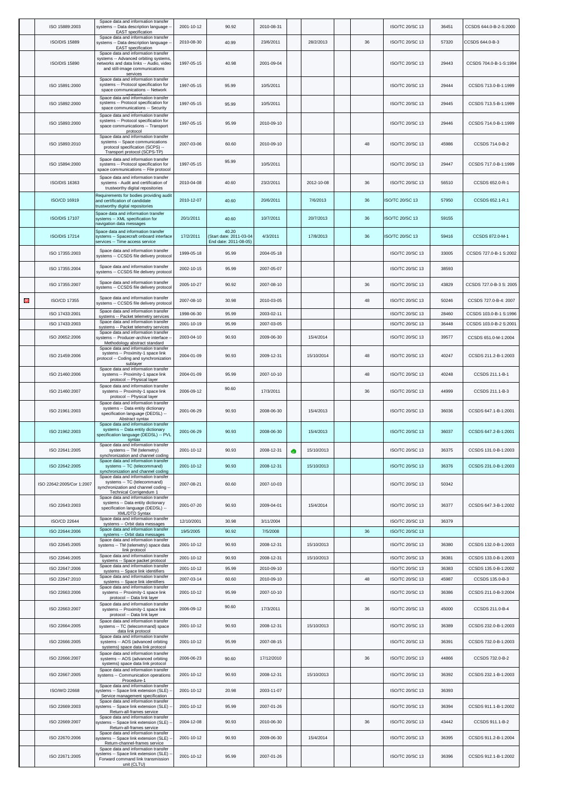|   | ISO 15889:2003            | Space data and information transfer<br>systems -- Data description language -<br>EAST specification                                                                   | 2001-10-12 | 90.92                                                     | 2010-08-31 |   |            |    | ISO/TC 20/SC 13        | 36451 | CCSDS 644.0-B-2-S:2000  |
|---|---------------------------|-----------------------------------------------------------------------------------------------------------------------------------------------------------------------|------------|-----------------------------------------------------------|------------|---|------------|----|------------------------|-------|-------------------------|
|   | <b>ISO/DIS 15889</b>      | Space data and information transfer<br>systems -- Data description language -<br><b>EAST</b> specification                                                            | 2010-08-30 | 40.99                                                     | 23/6/2011  |   | 28/2/2013  | 36 | <b>ISO/TC 20/SC 13</b> | 57320 | CCSDS 644.0-B-3         |
|   | <b>ISO/DIS 15890</b>      | Space data and information transfer<br>systems -- Advanced orbiting systems,<br>networks and data links -- Audio, video<br>and still-image communications<br>services | 1997-05-15 | 40.98                                                     | 2001-09-04 |   |            |    | ISO/TC 20/SC 13        | 29443 | CCSDS 704.0-B-1-S:1994  |
|   | ISO 15891:2000            | Space data and information transfer<br>systems -- Protocol specification for<br>space communications -- Network                                                       | 1997-05-15 | 95.99                                                     | 10/5/2011  |   |            |    | ISO/TC 20/SC 13        | 29444 | CCSDS 713.0-B-1:1999    |
|   | ISO 15892:2000            | Space data and information transfer<br>systems -- Protocol specification for<br>space communications -- Security                                                      | 1997-05-15 | 95.99                                                     | 10/5/2011  |   |            |    | ISO/TC 20/SC 13        | 29445 | CCSDS 713.5-B-1:1999    |
|   | ISO 15893:2000            | Space data and information transfer<br>systems -- Protocol specification for<br>space communications -- Transport<br>protocol                                         | 1997-05-15 | 95.99                                                     | 2010-09-10 |   |            |    | ISO/TC 20/SC 13        | 29446 | CCSDS 714.0-B-1:1999    |
|   | ISO 15893:2010            | Space data and information transfer<br>systems -- Space communications<br>protocol specification (SCPS) --<br>Transport protocol (SCPS-TP)                            | 2007-03-06 | 60.60                                                     | 2010-09-10 |   |            | 48 | ISO/TC 20/SC 13        | 45986 | CCSDS 714.0-B-2         |
|   | ISO 15894:2000            | Space data and information transfer<br>systems -- Protocol specification for<br>space communications -- File protocol                                                 | 1997-05-15 | 95.99                                                     | 10/5/2011  |   |            |    | <b>ISO/TC 20/SC 13</b> | 29447 | CCSDS 717.0-B-1:1999    |
|   | <b>ISO/DIS 16363</b>      | Space data and information transfer<br>systems - Audit and certification of<br>trustworthy digital repositories                                                       | 2010-04-08 | 40.60                                                     | 23/2/2011  |   | 2012-10-08 | 36 | ISO/TC 20/SC 13        | 56510 | CCSDS 652.0-R-1         |
|   | ISO/CD 16919              | Requirements for bodies providing audit<br>and certification of candidate<br>trustworthy digital repositories                                                         | 2010-12-07 | 40.60                                                     | 20/6/2011  |   | 7/6/2013   | 36 | ISO/TC 20/SC 13        | 57950 | CCSDS 652.1-R.1         |
|   | <b>ISO/DIS 17107</b>      | Space data and information transfer<br>systems -- XML specification for<br>navigation data messages                                                                   | 20/1/2011  | 40.60                                                     | 10/7/2011  |   | 20/7/2013  | 36 | <b>ISO/TC 20/SC 13</b> | 59155 |                         |
|   | <b>ISO/DIS 17214</b>      | Space data and information transfer<br>systems -- Spacecraft onboard interface<br>services -- Time access service                                                     | 17/2/2011  | 40.20<br>(Start date: 2011-03-04<br>End date: 2011-08-05) | 4/3/2011   |   | 17/8/2013  | 36 | SO/TC 20/SC 13         | 59416 | CCSDS 872.0-M-1         |
|   | ISO 17355:2003            | Space data and information transfer<br>systems -- CCSDS file delivery protocol                                                                                        | 1999-05-18 | 95.99                                                     | 2004-05-18 |   |            |    | ISO/TC 20/SC 13        | 33005 | CCSDS 727.0-B-1 S:2002  |
|   | ISO 17355:2004            | Space data and information transfer<br>systems -- CCSDS file delivery protocol                                                                                        | 2002-10-15 | 95.99                                                     | 2007-05-07 |   |            |    | ISO/TC 20/SC 13        | 38593 |                         |
|   | ISO 17355:2007            | Space data and information transfer<br>systems -- CCSDS file delivery protocol                                                                                        | 2005-10-27 | 90.92                                                     | 2007-08-10 |   |            | 36 | <b>ISO/TC 20/SC 13</b> | 43829 | CCSDS 727.0-B-3 S: 2005 |
| 0 | ISO/CD 17355              | Space data and information transfer<br>systems -- CCSDS file delivery protocol                                                                                        | 2007-08-10 | 30.98                                                     | 2010-03-05 |   |            | 48 | <b>ISO/TC 20/SC 13</b> | 50246 | CCSDS 727.0-B-4: 2007   |
|   | ISO 17433:2001            | Space data and information transfer<br>systems -- Packet telemetry services                                                                                           | 1998-06-30 | 95.99                                                     | 2003-02-11 |   |            |    | ISO/TC 20/SC 13        | 28460 | CCSDS 103.0-B-1 S:1996  |
|   | ISO 17433:2003            | Space data and information transfer<br>systems -- Packet telemetry services                                                                                           | 2001-10-19 | 95.99                                                     | 2007-03-05 |   |            |    | ISO/TC 20/SC 13        | 36448 | CCSDS 103.0-B-2 S:2001  |
|   | ISO 20652:2006            | Space data and information transfer<br>systems -- Producer-archive interface -<br>Methodology abstract standard                                                       | 2003-04-10 | 90.93                                                     | 2009-06-30 |   | 15/4/2014  |    | <b>ISO/TC 20/SC 13</b> | 39577 | CCSDS 651.0-M-1:2004    |
|   | ISO 21459:2006            | Space data and information transfer<br>systems -- Proximity-1 space link<br>protocol -- Coding and synchronization<br>sublayer                                        | 2004-01-09 | 90.93                                                     | 2009-12-31 |   | 15/10/2014 | 48 | ISO/TC 20/SC 13        | 40247 | CCSDS 211.2-B-1:2003    |
|   | ISO 21460:2006            | Space data and information transfer<br>systems -- Proximity-1 space link<br>protocol -- Physical layer                                                                | 2004-01-09 | 95.99                                                     | 2007-10-10 |   |            | 48 | <b>ISO/TC 20/SC 13</b> | 40248 | CCSDS 211.1-B-1         |
|   | ISO 21460:2007            | Space data and information transfer<br>systems -- Proximity-1 space link<br>protocol -- Physical layer                                                                | 2006-09-12 | 90.60                                                     | 17/3/2011  |   |            | 36 | <b>ISO/TC 20/SC 13</b> | 44999 | CCSDS 211.1-B-3         |
|   | ISO 21961:2003            | Space data and information transfer<br>systems -- Data entity dictionary<br>specification language (DEDSL) --<br>Abstract syntax                                      | 2001-06-29 | 90.93                                                     | 2008-06-30 |   | 15/4/2013  |    | ISO/TC 20/SC 13        | 36036 | CCSDS 647.1-B-1:2001    |
|   | ISO 21962:2003            | Space data and information transfer<br>systems -- Data entity dictionary<br>specification language (DEDSL) -- PVL<br>syntax                                           | 2001-06-29 | 90.93                                                     | 2008-06-30 |   | 15/4/2013  |    | ISO/TC 20/SC 13        | 36037 | CCSDS 647.2-B-1:2001    |
|   | ISO 22641:2005            | Space data and information transfer<br>systems -- TM (telemetry)<br>synchronization and channel coding                                                                | 2001-10-12 | 90.93                                                     | 2008-12-31 | ۰ | 15/10/2013 |    | ISO/TC 20/SC 13        | 36375 | CCSDS 131.0-B-1:2003    |
|   | ISO 22642:2005            | Space data and information transfer<br>systems -- TC (telecommand)<br>synchronization and channel coding                                                              | 2001-10-12 | 90.93                                                     | 2008-12-31 |   | 15/10/2013 |    | ISO/TC 20/SC 13        | 36376 | CCSDS 231.0-B-1:2003    |
|   | ISO 22642:2005/Cor 1:2007 | Space data and information transfer<br>systems -- TC (telecommand)<br>synchronization and channel coding --<br><b>Technical Corrigendum 1</b>                         | 2007-08-21 | 60.60                                                     | 2007-10-03 |   |            |    | ISO/TC 20/SC 13        | 50342 |                         |
|   | ISO 22643:2003            | Space data and information transfer<br>systems -- Data entity dictionary<br>specification language (DEDSL) --<br>XML/DTD Syntax                                       | 2001-07-20 | 90.93                                                     | 2009-04-01 |   | 15/4/2014  |    | ISO/TC 20/SC 13        | 36377 | CCSDS 647.3-B-1:2002    |
|   | ISO/CD 22644              | Space data and information transfer<br>systems -- Orbit data messages<br>Space data and information transfer                                                          | 12/10/2001 | 30.98                                                     | 3/11/2004  |   |            |    | ISO/TC 20/SC 13        | 36379 |                         |
|   | ISO 22644:2006            | systems -- Orbit data messages<br>Space data and information transfer                                                                                                 | 19/5/2005  | 90.92                                                     | 7/5/2008   |   |            | 36 | <b>ISO/TC 20/SC 13</b> |       |                         |
|   | ISO 22645:2005            | systems -- TM (telemetry) space data<br>link protocol                                                                                                                 | 2001-10-12 | 90.93                                                     | 2008-12-31 |   | 15/10/2013 |    | ISO/TC 20/SC 13        | 36380 | CCSDS 132.0-B-1:2003    |
|   | ISO 22646:2005            | Space data and information transfer<br>systems -- Space packet protocol<br>Space data and information transfer                                                        | 2001-10-12 | 90.93                                                     | 2008-12-31 |   | 15/10/2013 |    | ISO/TC 20/SC 13        | 36381 | CCSDS 133.0-B-1:2003    |
|   | ISO 22647:2006            | systems -- Space link identifiers<br>Space data and information transfer                                                                                              | 2001-10-12 | 95.99                                                     | 2010-09-10 |   |            |    | ISO/TC 20/SC 13        | 36383 | CCSDS 135.0-B-1:2002    |
|   | ISO 22647:2010            | systems -- Space link identifiers<br>Space data and information transfer                                                                                              | 2007-03-14 | 60.60                                                     | 2010-09-10 |   |            | 48 | ISO/TC 20/SC 13        | 45987 | CCSDS 135.0-B-3         |
|   | ISO 22663:2006            | systems -- Proximity-1 space link<br>protocol -- Data link layer<br>Space data and information transfer                                                               | 2001-10-12 | 95.99<br>90.60                                            | 2007-10-10 |   |            | 36 | ISO/TC 20/SC 13        | 36386 | CCSDS 211.0-B-3:2004    |
|   | ISO 22663:2007            | systems -- Proximity-1 space link<br>protocol -- Data link layer<br>Space data and information transfer                                                               | 2006-09-12 |                                                           | 17/3/2011  |   |            |    | ISO/TC 20/SC 13        | 45000 | CCSDS 211.0-B-4         |
|   | ISO 22664:2005            | systems -- TC (telecommand) space<br>data link protocol<br>Space data and information transfer                                                                        | 2001-10-12 | 90.93                                                     | 2008-12-31 |   | 15/10/2013 |    | ISO/TC 20/SC 13        | 36389 | CCSDS 232.0-B-1:2003    |
|   | ISO 22666:2005            | systems -- AOS (advanced orbiting<br>systems) space data link protocol<br>Space data and information transfer                                                         | 2001-10-12 | 95.99                                                     | 2007-08-15 |   |            |    | ISO/TC 20/SC 13        | 36391 | CCSDS 732.0-B-1:2003    |
|   | ISO 22666:2007            | systems -- AOS (advanced orbiting<br>systems) space data link protocol<br>Space data and information transfer                                                         | 2006-06-23 | 90.60                                                     | 17/12/2010 |   |            | 36 | ISO/TC 20/SC 13        | 44866 | CCSDS 732.0-B-2         |
|   | ISO 22667:2005            | systems -- Communication operations<br>Procedure-1                                                                                                                    | 2001-10-12 | 90.93                                                     | 2008-12-31 |   | 15/10/2013 |    | ISO/TC 20/SC 13        | 36392 | CCSDS 232.1-B-1:2003    |
|   | <b>ISO/WD 22668</b>       | Space data and information transfer<br>systems -- Space link extension (SLE)<br>Service management specification                                                      | 2001-10-12 | 20.98                                                     | 2003-11-07 |   |            |    | <b>ISO/TC 20/SC 13</b> | 36393 |                         |
|   | ISO 22669:2003            | Space data and information transfer<br>systems -- Space link extension (SLE)<br>Return-all-frames service                                                             | 2001-10-12 | 95.99                                                     | 2007-01-26 |   |            |    | ISO/TC 20/SC 13        | 36394 | CCSDS 911.1-B-1:2002    |
|   | ISO 22669:2007            | Space data and information transfer<br>systems -- Space link extension (SLE)<br>Return-all-frames service                                                             | 2004-12-08 | 90.93                                                     | 2010-06-30 |   |            | 36 | ISO/TC 20/SC 13        | 43442 | CCSDS 911.1-B-2         |
|   | ISO 22670:2006            | Space data and information transfer<br>systems -- Space link extension (SLE)<br>Return-channel-frames service                                                         | 2001-10-12 | 90.93                                                     | 2009-06-30 |   | 15/4/2014  |    | ISO/TC 20/SC 13        | 36395 | CCSDS 911.2-B-1:2004    |
|   | ISO 22671:2005            | Space data and information transfer<br>systems -- Space link extension (SLE)<br>Forward command link transmission<br>unit (CLTU)                                      | 2001-10-12 | 95.99                                                     | 2007-01-26 |   |            |    | ISO/TC 20/SC 13        | 36396 | CCSDS 912.1-B-1:2002    |